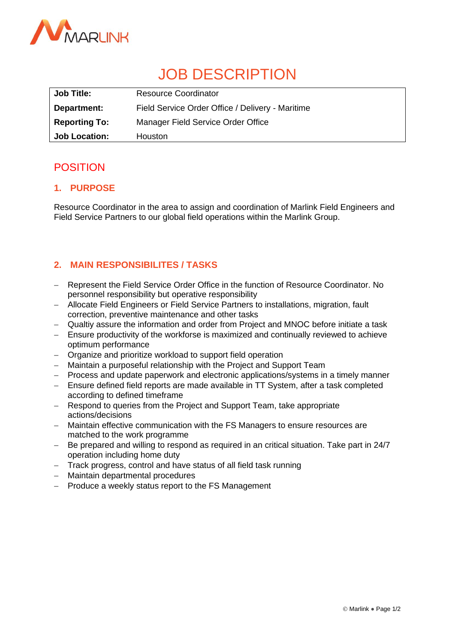

# JOB DESCRIPTION

| <b>Job Title:</b>    | <b>Resource Coordinator</b>                      |
|----------------------|--------------------------------------------------|
| Department:          | Field Service Order Office / Delivery - Maritime |
| <b>Reporting To:</b> | Manager Field Service Order Office               |
| <b>Job Location:</b> | <b>Houston</b>                                   |

# POSITION

# **1. PURPOSE**

Resource Coordinator in the area to assign and coordination of Marlink Field Engineers and Field Service Partners to our global field operations within the Marlink Group.

# **2. MAIN RESPONSIBILITES / TASKS**

- − Represent the Field Service Order Office in the function of Resource Coordinator. No personnel responsibility but operative responsibility
- − Allocate Field Engineers or Field Service Partners to installations, migration, fault correction, preventive maintenance and other tasks
- − Qualtiy assure the information and order from Project and MNOC before initiate a task
- − Ensure productivity of the workforse is maximized and continually reviewed to achieve optimum performance
- − Organize and prioritize workload to support field operation
- − Maintain a purposeful relationship with the Project and Support Team
- − Process and update paperwork and electronic applications/systems in a timely manner
- − Ensure defined field reports are made available in TT System, after a task completed according to defined timeframe
- − Respond to queries from the Project and Support Team, take appropriate actions/decisions
- − Maintain effective communication with the FS Managers to ensure resources are matched to the work programme
- − Be prepared and willing to respond as required in an critical situation. Take part in 24/7 operation including home duty
- − Track progress, control and have status of all field task running
- − Maintain departmental procedures
- − Produce a weekly status report to the FS Management